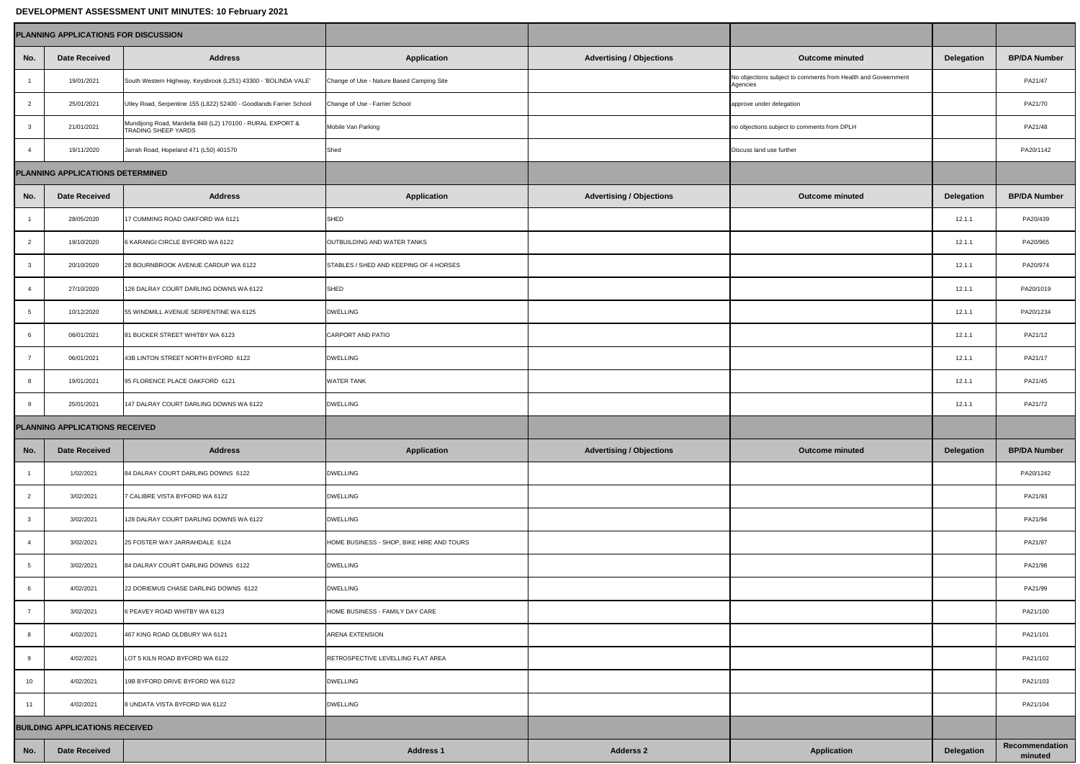## **DEVELOPMENT ASSESSMENT UNIT MINUTES: 10 February 2021**

|                                         | <b>PLANNING APPLICATIONS FOR DISCUSSION</b> |                                                                                         |                                           |                                 |                                                                           |                   |                           |
|-----------------------------------------|---------------------------------------------|-----------------------------------------------------------------------------------------|-------------------------------------------|---------------------------------|---------------------------------------------------------------------------|-------------------|---------------------------|
| No.                                     | <b>Date Received</b>                        | <b>Address</b>                                                                          | <b>Application</b>                        | <b>Advertising / Objections</b> | <b>Outcome minuted</b>                                                    | <b>Delegation</b> | <b>BP/DA Number</b>       |
|                                         | 19/01/2021                                  | South Western Highway, Keysbrook (L251) 43300 - 'BOLINDA VALE'                          | Change of Use - Nature Based Camping Site |                                 | No objections subject to comments from Health and Goveernment<br>Agencies |                   | PA21/47                   |
|                                         | 25/01/2021                                  | Utley Road, Serpentine 155 (L822) 52400 - Goodlands Farrier School                      | Change of Use - Farrier School            |                                 | approve under delegation                                                  |                   | PA21/70                   |
| -3                                      | 21/01/2021                                  | Mundijong Road, Mardella 848 (L2) 170100 - RURAL EXPORT &<br><b>TRADING SHEEP YARDS</b> | Mobile Van Parking                        |                                 | no objections subject to comments from DPLH                               |                   | PA21/48                   |
|                                         | 19/11/2020                                  | Jarrah Road, Hopeland 471 (L50) 401570                                                  | Shed                                      |                                 | Discuss land use further                                                  |                   | PA20/1142                 |
| <b>PLANNING APPLICATIONS DETERMINED</b> |                                             |                                                                                         |                                           |                                 |                                                                           |                   |                           |
| No.                                     | <b>Date Received</b>                        | <b>Address</b>                                                                          | <b>Application</b>                        | <b>Advertising / Objections</b> | <b>Outcome minuted</b>                                                    | <b>Delegation</b> | <b>BP/DA Number</b>       |
|                                         | 28/05/2020                                  | 17 CUMMING ROAD OAKFORD WA 6121                                                         | SHED                                      |                                 |                                                                           | 12.1.1            | PA20/439                  |
|                                         | 19/10/2020                                  | 6 KARANGI CIRCLE BYFORD WA 6122                                                         | OUTBUILDING AND WATER TANKS               |                                 |                                                                           | 12.1.1            | PA20/965                  |
|                                         | 20/10/2020                                  | 28 BOURNBROOK AVENUE CARDUP WA 6122                                                     | STABLES / SHED AND KEEPING OF 4 HORSES    |                                 |                                                                           | 12.1.1            | PA20/974                  |
|                                         | 27/10/2020                                  | 126 DALRAY COURT DARLING DOWNS WA 6122                                                  | SHED                                      |                                 |                                                                           | 12.1.1            | PA20/1019                 |
|                                         | 10/12/2020                                  | 55 WINDMILL AVENUE SERPENTINE WA 6125                                                   | <b>DWELLING</b>                           |                                 |                                                                           | 12.1.1            | PA20/1234                 |
| 6                                       | 06/01/2021                                  | 81 BUCKER STREET WHITBY WA 6123                                                         | CARPORT AND PATIO                         |                                 |                                                                           | 12.1.1            | PA21/12                   |
|                                         | 06/01/2021                                  | 43B LINTON STREET NORTH BYFORD 6122                                                     | <b>DWELLING</b>                           |                                 |                                                                           | 12.1.1            | PA21/17                   |
|                                         | 19/01/2021                                  | 95 FLORENCE PLACE OAKFORD 6121                                                          | <b>WATER TANK</b>                         |                                 |                                                                           | 12.1.1            | PA21/45                   |
| 9                                       | 25/01/2021                                  | 147 DALRAY COURT DARLING DOWNS WA 6122                                                  | <b>DWELLING</b>                           |                                 |                                                                           | 12.1.1            | PA21/72                   |
| <b>PLANNING APPLICATIONS RECEIVED</b>   |                                             |                                                                                         |                                           |                                 |                                                                           |                   |                           |
| No.                                     | <b>Date Received</b>                        | <b>Address</b>                                                                          | <b>Application</b>                        | <b>Advertising / Objections</b> | <b>Outcome minuted</b>                                                    | <b>Delegation</b> | <b>BP/DA Number</b>       |
|                                         | 1/02/2021                                   | 84 DALRAY COURT DARLING DOWNS 6122                                                      | <b>DWELLING</b>                           |                                 |                                                                           |                   | PA20/1242                 |
|                                         | 3/02/2021                                   | 7 CALIBRE VISTA BYFORD WA 6122                                                          | <b>DWELLING</b>                           |                                 |                                                                           |                   | PA21/93                   |
|                                         | 3/02/2021                                   | 128 DALRAY COURT DARLING DOWNS WA 6122                                                  | <b>DWELLING</b>                           |                                 |                                                                           |                   | PA21/94                   |
|                                         | 3/02/2021                                   | 25 FOSTER WAY JARRAHDALE 6124                                                           | HOME BUSINESS - SHOP, BIKE HIRE AND TOURS |                                 |                                                                           |                   | PA21/97                   |
|                                         | 3/02/2021                                   | 84 DALRAY COURT DARLING DOWNS 6122                                                      | <b>DWELLING</b>                           |                                 |                                                                           |                   | PA21/98                   |
|                                         | 4/02/2021                                   | 22 DORIEMUS CHASE DARLING DOWNS 6122                                                    | <b>DWELLING</b>                           |                                 |                                                                           |                   | PA21/99                   |
|                                         | 3/02/2021                                   | 6 PEAVEY ROAD WHITBY WA 6123                                                            | HOME BUSINESS - FAMILY DAY CARE           |                                 |                                                                           |                   | PA21/100                  |
|                                         | 4/02/2021                                   | 467 KING ROAD OLDBURY WA 6121                                                           | <b>ARENA EXTENSION</b>                    |                                 |                                                                           |                   | PA21/101                  |
|                                         | 4/02/2021                                   | LOT 5 KILN ROAD BYFORD WA 6122                                                          | RETROSPECTIVE LEVELLING FLAT AREA         |                                 |                                                                           |                   | PA21/102                  |
| 10 <sup>1</sup>                         | 4/02/2021                                   | 19B BYFORD DRIVE BYFORD WA 6122                                                         | <b>DWELLING</b>                           |                                 |                                                                           |                   | PA21/103                  |
| 11                                      | 4/02/2021                                   | 8 UNDATA VISTA BYFORD WA 6122                                                           | <b>DWELLING</b>                           |                                 |                                                                           |                   | PA21/104                  |
| <b>BUILDING APPLICATIONS RECEIVED</b>   |                                             |                                                                                         |                                           |                                 |                                                                           |                   |                           |
| No.                                     | <b>Date Received</b>                        |                                                                                         | <b>Address 1</b>                          | <b>Adderss 2</b>                | <b>Application</b>                                                        | <b>Delegation</b> | Recommendation<br>minuted |